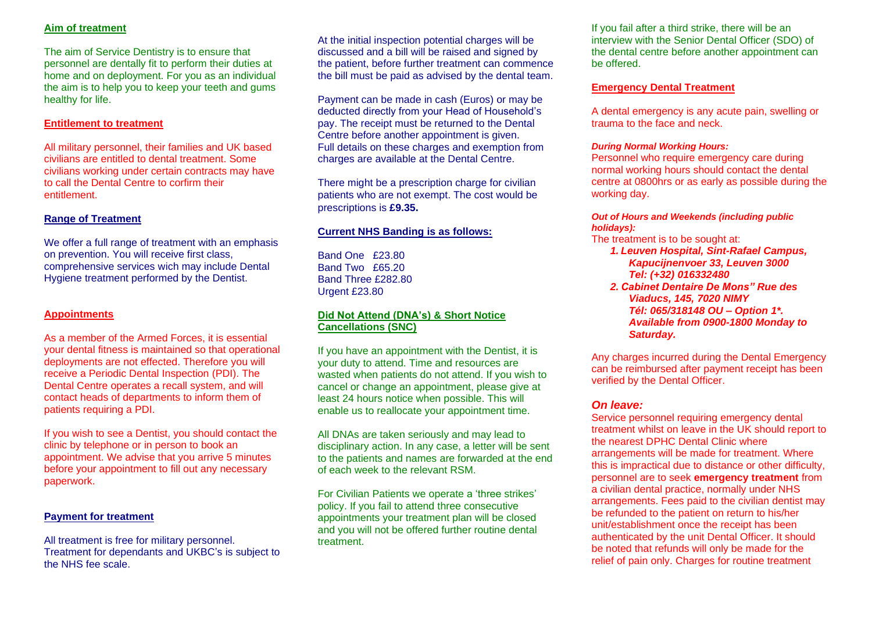# **Aim of treatment**

The aim of Service Dentistry is to ensure that personnel are dentally fit to perform their duties at home and on deployment. For you as an individual the aim is to help you to keep your teeth and gums healthy for life.

### **Entitlement to treatment**

All military personnel, their families and UK based civilians are entitled to dental treatment. Some civilians working under certain contracts may have to call the Dental Centre to corfirm their entitlement.

# **Range of Treatment**

We offer a full range of treatment with an emphasis on prevention. You will receive first class, comprehensive services wich may include Dental Hygiene treatment performed by the Dentist.

# **Appointments**

As a member of the Armed Forces, it is essential your dental fitness is maintained so that operational deployments are not effected. Therefore you will receive a Periodic Dental Inspection (PDI). The Dental Centre operates a recall system, and will contact heads of departments to inform them of patients requiring a PDI.

If you wish to see a Dentist, you should contact the clinic by telephone or in person to book an appointment. We advise that you arrive 5 minutes before your appointment to fill out any necessary paperwork.

# **Payment for treatment**

All treatment is free for military personnel. Treatment for dependants and UKBC's is subject to the NHS fee scale.

At the initial inspection potential charges will be discussed and a bill will be raised and signed by the patient, before further treatment can commence the bill must be paid as advised by the dental team.

Payment can be made in cash (Euros) or may be deducted directly from your Head of Household's pay. The receipt must be returned to the Dental Centre before another appointment is given. Full details on these charges and exemption from charges are available at the Dental Centre.

There might be a prescription charge for civilian patients who are not exempt. The cost would be prescriptions is **£9.35.**

# **Current NHS Banding is as follows:**

Band One £23.80 Band Two £65.20 Band Three £282.80 Urgent £23.80

# **Did Not Attend (DNA's) & Short Notice Cancellations (SNC)**

If you have an appointment with the Dentist, it is your duty to attend. Time and resources are wasted when patients do not attend. If you wish to cancel or change an appointment, please give at least 24 hours notice when possible. This will enable us to reallocate your appointment time.

All DNAs are taken seriously and may lead to disciplinary action. In any case, a letter will be sent to the patients and names are forwarded at the end of each week to the relevant RSM.

For Civilian Patients we operate a 'three strikes' policy. If you fail to attend three consecutive appointments your treatment plan will be closed and you will not be offered further routine dental treatment.

If you fail after a third strike, there will be an interview with the Senior Dental Officer (SDO) of the dental centre before another appointment can be offered.

# **Emergency Dental Treatment**

A dental emergency is any acute pain, swelling or trauma to the face and neck.

#### *During Normal Working Hours:*

Personnel who require emergency care during normal working hours should contact the dental centre at 0800hrs or as early as possible during the working day.

#### *Out of Hours and Weekends (including public holidays):*

The treatment is to be sought at:

- *1. Leuven Hospital, Sint-Rafael Campus, Kapucijnenvoer 33, Leuven 3000 Tel: (+32) 016332480*
- *2. Cabinet Dentaire De Mons" Rue des Viaducs, 145, 7020 NIMY Tél: 065/318148 OU – Option 1\*. Available from 0900-1800 Monday to Saturday.*

Any charges incurred during the Dental Emergency can be reimbursed after payment receipt has been verified by the Dental Officer.

# *On leave:*

Service personnel requiring emergency dental treatment whilst on leave in the UK should report to the nearest DPHC Dental Clinic where arrangements will be made for treatment. Where this is impractical due to distance or other difficulty, personnel are to seek **emergency treatment** from a civilian dental practice, normally under NHS arrangements. Fees paid to the civilian dentist may be refunded to the patient on return to his/her unit/establishment once the receipt has been authenticated by the unit Dental Officer. It should be noted that refunds will only be made for the relief of pain only. Charges for routine treatment